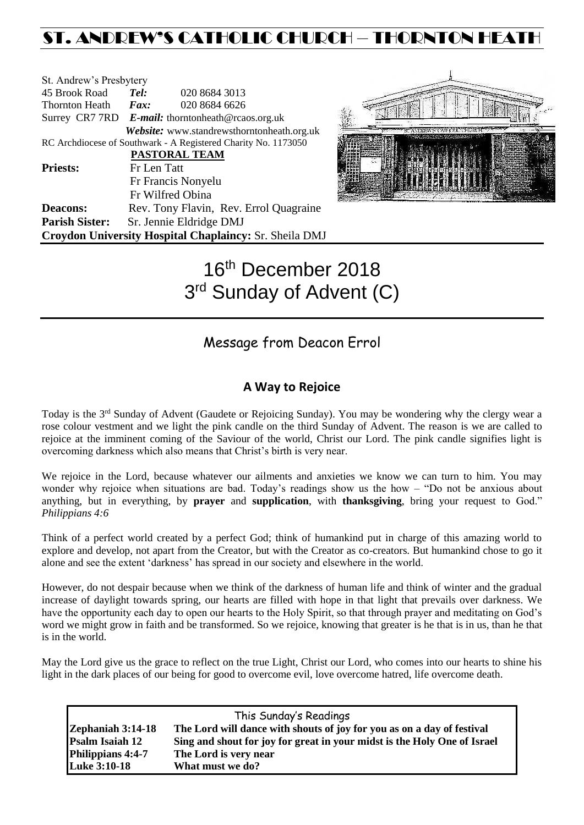## ST. ANDREW'S CATHOLIC CHURCH – THORNTON HEAT

| St. Andrew's Presbytery                                        |                                                   |                                            |  |  |  |  |
|----------------------------------------------------------------|---------------------------------------------------|--------------------------------------------|--|--|--|--|
| 45 Brook Road                                                  | Tel:                                              | 020 8684 3013                              |  |  |  |  |
| Thornton Heath                                                 | Fax:                                              | 020 8684 6626                              |  |  |  |  |
|                                                                | Surrey CR7 7RD E-mail: thorntonheath@rcaos.org.uk |                                            |  |  |  |  |
|                                                                |                                                   | Website: www.standrewsthorntonheath.org.uk |  |  |  |  |
| RC Archdiocese of Southwark - A Registered Charity No. 1173050 |                                                   |                                            |  |  |  |  |
| PASTORAL TEAM                                                  |                                                   |                                            |  |  |  |  |
| <b>Priests:</b>                                                | Fr Len Tatt                                       |                                            |  |  |  |  |
|                                                                |                                                   | Fr Francis Nonyelu                         |  |  |  |  |
|                                                                |                                                   | Fr Wilfred Obina                           |  |  |  |  |
| <b>Deacons:</b>                                                |                                                   | Rev. Tony Flavin, Rev. Errol Quagraine     |  |  |  |  |
| <b>Parish Sister:</b>                                          |                                                   | Sr. Jennie Eldridge DMJ                    |  |  |  |  |
| Croydon University Hospital Chaplaincy: Sr. Sheila DMJ         |                                                   |                                            |  |  |  |  |



# 16<sup>th</sup> December 2018 3<sup>rd</sup> Sunday of Advent (C)

### Message from Deacon Errol

### **A Way to Rejoice**

Today is the 3rd Sunday of Advent (Gaudete or Rejoicing Sunday). You may be wondering why the clergy wear a rose colour vestment and we light the pink candle on the third Sunday of Advent. The reason is we are called to rejoice at the imminent coming of the Saviour of the world, Christ our Lord. The pink candle signifies light is overcoming darkness which also means that Christ's birth is very near.

We rejoice in the Lord, because whatever our ailments and anxieties we know we can turn to him. You may wonder why rejoice when situations are bad. Today's readings show us the how – "Do not be anxious about anything, but in everything, by **prayer** and **supplication**, with **thanksgiving**, bring your request to God." *Philippians 4:6*

Think of a perfect world created by a perfect God; think of humankind put in charge of this amazing world to explore and develop, not apart from the Creator, but with the Creator as co-creators. But humankind chose to go it alone and see the extent 'darkness' has spread in our society and elsewhere in the world.

However, do not despair because when we think of the darkness of human life and think of winter and the gradual increase of daylight towards spring, our hearts are filled with hope in that light that prevails over darkness. We have the opportunity each day to open our hearts to the Holy Spirit, so that through prayer and meditating on God's word we might grow in faith and be transformed. So we rejoice, knowing that greater is he that is in us, than he that is in the world.

May the Lord give us the grace to reflect on the true Light, Christ our Lord, who comes into our hearts to shine his light in the dark places of our being for good to overcome evil, love overcome hatred, life overcome death.

| This Sunday's Readings |                                                                          |  |  |  |  |
|------------------------|--------------------------------------------------------------------------|--|--|--|--|
| Zephaniah 3:14-18      | The Lord will dance with shouts of joy for you as on a day of festival   |  |  |  |  |
| <b>Psalm Isaiah 12</b> | Sing and shout for joy for great in your midst is the Holy One of Israel |  |  |  |  |
| Philippians 4:4-7      | The Lord is very near                                                    |  |  |  |  |
| <b>Luke 3:10-18</b>    | What must we do?                                                         |  |  |  |  |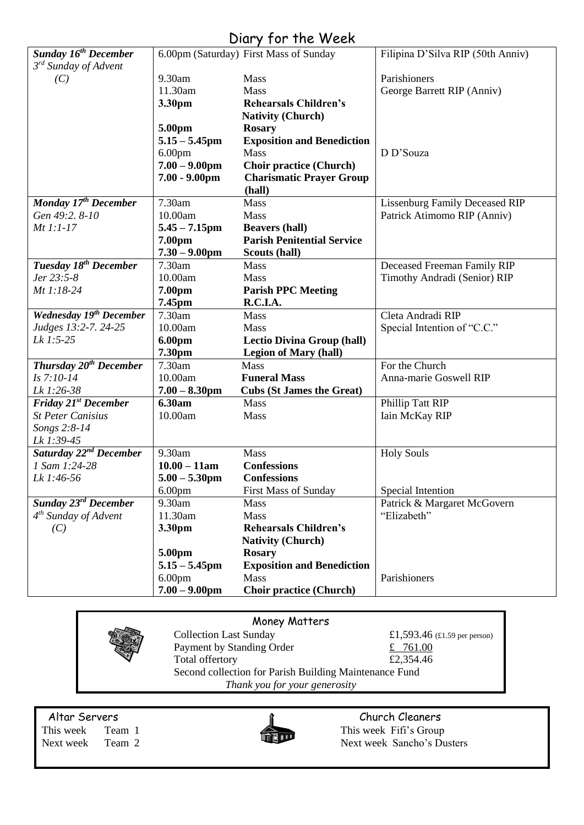### Diary for the Week

|                                    |                                        | $U(u, y, v)$ and $W$ can          |                                   |  |
|------------------------------------|----------------------------------------|-----------------------------------|-----------------------------------|--|
| <b>Sunday 16th December</b>        | 6.00pm (Saturday) First Mass of Sunday |                                   | Filipina D'Silva RIP (50th Anniv) |  |
| 3 <sup>rd</sup> Sunday of Advent   |                                        |                                   |                                   |  |
| (C)                                | 9.30am                                 | Mass                              | Parishioners                      |  |
|                                    | 11.30am                                | <b>Mass</b>                       | George Barrett RIP (Anniv)        |  |
|                                    | 3.30pm                                 | <b>Rehearsals Children's</b>      |                                   |  |
|                                    |                                        | <b>Nativity (Church)</b>          |                                   |  |
|                                    | 5.00pm                                 | <b>Rosary</b>                     |                                   |  |
|                                    | $5.15 - 5.45$ pm                       | <b>Exposition and Benediction</b> |                                   |  |
|                                    | 6.00 <sub>pm</sub>                     | <b>Mass</b>                       | D D'Souza                         |  |
|                                    | $7.00 - 9.00$ pm                       | <b>Choir practice (Church)</b>    |                                   |  |
|                                    | $7.00 - 9.00$ pm                       | <b>Charismatic Prayer Group</b>   |                                   |  |
|                                    |                                        | (hall)                            |                                   |  |
| Monday 17 <sup>th</sup> December   | 7.30am                                 | <b>Mass</b>                       | Lissenburg Family Deceased RIP    |  |
| Gen 49:2. 8-10                     | 10.00am                                | Mass                              | Patrick Atimomo RIP (Anniv)       |  |
| $Mt$ 1:1-17                        | $5.45 - 7.15$ pm                       | <b>Beavers (hall)</b>             |                                   |  |
|                                    | 7.00pm                                 | <b>Parish Penitential Service</b> |                                   |  |
|                                    | $7.30 - 9.00$ pm                       | Scouts (hall)                     |                                   |  |
| Tuesday 18 <sup>th</sup> December  | 7.30am                                 | <b>Mass</b>                       | Deceased Freeman Family RIP       |  |
| Jer 23:5-8                         | 10.00am                                | <b>Mass</b>                       | Timothy Andradi (Senior) RIP      |  |
| Mt 1:18-24                         | 7.00pm                                 | <b>Parish PPC Meeting</b>         |                                   |  |
|                                    | 7.45pm                                 | R.C.I.A.                          |                                   |  |
| <b>Wednesday 19th December</b>     | 7.30am                                 | <b>Mass</b>                       | Cleta Andradi RIP                 |  |
| Judges 13:2-7. 24-25               | 10.00am                                | Mass                              | Special Intention of "C.C."       |  |
| Lk 1:5-25                          | 6.00pm                                 | <b>Lectio Divina Group (hall)</b> |                                   |  |
|                                    | 7.30pm                                 | <b>Legion of Mary (hall)</b>      |                                   |  |
| Thursday 20 <sup>th</sup> December | 7.30am                                 | <b>Mass</b>                       | For the Church                    |  |
| $Is 7:10-14$                       | 10.00am                                | <b>Funeral Mass</b>               | Anna-marie Goswell RIP            |  |
| Lk 1:26-38                         | $7.00 - 8.30$ pm                       | <b>Cubs (St James the Great)</b>  |                                   |  |
| Friday 21 <sup>st</sup> December   | 6.30am                                 | Mass                              | Phillip Tatt RIP                  |  |
| <b>St Peter Canisius</b>           | 10.00am                                | Mass                              | Iain McKay RIP                    |  |
| Songs 2:8-14                       |                                        |                                   |                                   |  |
| Lk 1:39-45                         |                                        |                                   |                                   |  |
| Saturday 22 <sup>nd</sup> December | 9.30am                                 | <b>Mass</b>                       | <b>Holy Souls</b>                 |  |
| 1 Sam 1:24-28                      | $10.00 - 11am$                         | <b>Confessions</b>                |                                   |  |
| Lk 1:46-56                         | $5.00 - 5.30$ pm                       | <b>Confessions</b>                |                                   |  |
|                                    | 6.00 <sub>pm</sub>                     | <b>First Mass of Sunday</b>       | Special Intention                 |  |
| Sunday 23 <sup>rd</sup> December   | 9.30am                                 | Mass                              | Patrick & Margaret McGovern       |  |
| $4th$ Sunday of Advent             | 11.30am                                | Mass                              | "Elizabeth"                       |  |
| (C)                                | 3.30pm                                 | <b>Rehearsals Children's</b>      |                                   |  |
|                                    |                                        | <b>Nativity (Church)</b>          |                                   |  |
|                                    | 5.00pm                                 | <b>Rosary</b>                     |                                   |  |
|                                    | $5.15 - 5.45$ pm                       | <b>Exposition and Benediction</b> |                                   |  |
|                                    | 6.00 <sub>pm</sub>                     | Mass                              | Parishioners                      |  |
|                                    | $7.00 - 9.00$ pm                       | <b>Choir practice (Church)</b>    |                                   |  |
|                                    |                                        |                                   |                                   |  |

**Money Matters**<br>Collection Last Sunday Payment by Standing Order<br>
Total offertory<br>
£ 2,354.46 Total offertory Second collection for Parish Building Maintenance Fund *Thank you for your generosity*

£1,593.46 (£1.59 per person)

Altar Servers and the church Cleaners and the church Cleaners church Cleaners



This week Team 1 This week Fifi's Group Next week Team 2 Next week Sancho's Dusters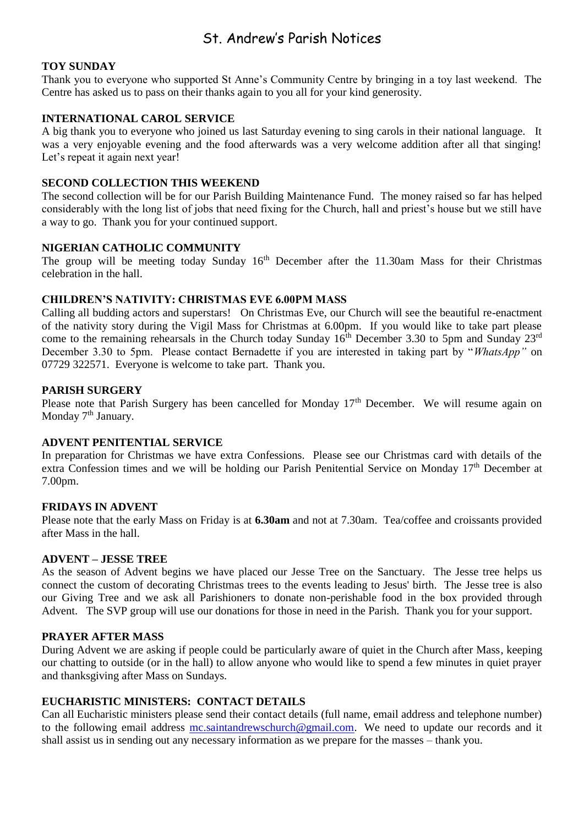### St. Andrew's Parish Notices

#### **TOY SUNDAY**

Thank you to everyone who supported St Anne's Community Centre by bringing in a toy last weekend. The Centre has asked us to pass on their thanks again to you all for your kind generosity.

#### **INTERNATIONAL CAROL SERVICE**

A big thank you to everyone who joined us last Saturday evening to sing carols in their national language. It was a very enjoyable evening and the food afterwards was a very welcome addition after all that singing! Let's repeat it again next year!

#### **SECOND COLLECTION THIS WEEKEND**

The second collection will be for our Parish Building Maintenance Fund. The money raised so far has helped considerably with the long list of jobs that need fixing for the Church, hall and priest's house but we still have a way to go. Thank you for your continued support.

#### **NIGERIAN CATHOLIC COMMUNITY**

The group will be meeting today Sunday  $16<sup>th</sup>$  December after the 11.30am Mass for their Christmas celebration in the hall.

#### **CHILDREN'S NATIVITY: CHRISTMAS EVE 6.00PM MASS**

Calling all budding actors and superstars! On Christmas Eve, our Church will see the beautiful re-enactment of the nativity story during the Vigil Mass for Christmas at 6.00pm. If you would like to take part please come to the remaining rehearsals in the Church today Sunday  $16<sup>th</sup>$  December 3.30 to 5pm and Sunday 23<sup>rd</sup> December 3.30 to 5pm. Please contact Bernadette if you are interested in taking part by "*WhatsApp"* on 07729 322571. Everyone is welcome to take part. Thank you.

#### **PARISH SURGERY**

Please note that Parish Surgery has been cancelled for Monday  $17<sup>th</sup>$  December. We will resume again on Monday 7<sup>th</sup> January.

#### **ADVENT PENITENTIAL SERVICE**

In preparation for Christmas we have extra Confessions. Please see our Christmas card with details of the extra Confession times and we will be holding our Parish Penitential Service on Monday 17<sup>th</sup> December at 7.00pm.

#### **FRIDAYS IN ADVENT**

Please note that the early Mass on Friday is at **6.30am** and not at 7.30am. Tea/coffee and croissants provided after Mass in the hall.

#### **ADVENT – JESSE TREE**

As the season of Advent begins we have placed our Jesse Tree on the Sanctuary. The Jesse tree helps us connect the custom of decorating Christmas trees to the events leading to Jesus' birth. The Jesse tree is also our Giving Tree and we ask all Parishioners to donate non-perishable food in the box provided through Advent. The SVP group will use our donations for those in need in the Parish. Thank you for your support.

#### **PRAYER AFTER MASS**

During Advent we are asking if people could be particularly aware of quiet in the Church after Mass, keeping our chatting to outside (or in the hall) to allow anyone who would like to spend a few minutes in quiet prayer and thanksgiving after Mass on Sundays.

#### **EUCHARISTIC MINISTERS: CONTACT DETAILS**

Can all Eucharistic ministers please send their contact details (full name, email address and telephone number) to the following email address [mc.saintandrewschurch@gmail.com.](mailto:mc.saintandrewschurch@gmail.com) We need to update our records and it shall assist us in sending out any necessary information as we prepare for the masses – thank you.